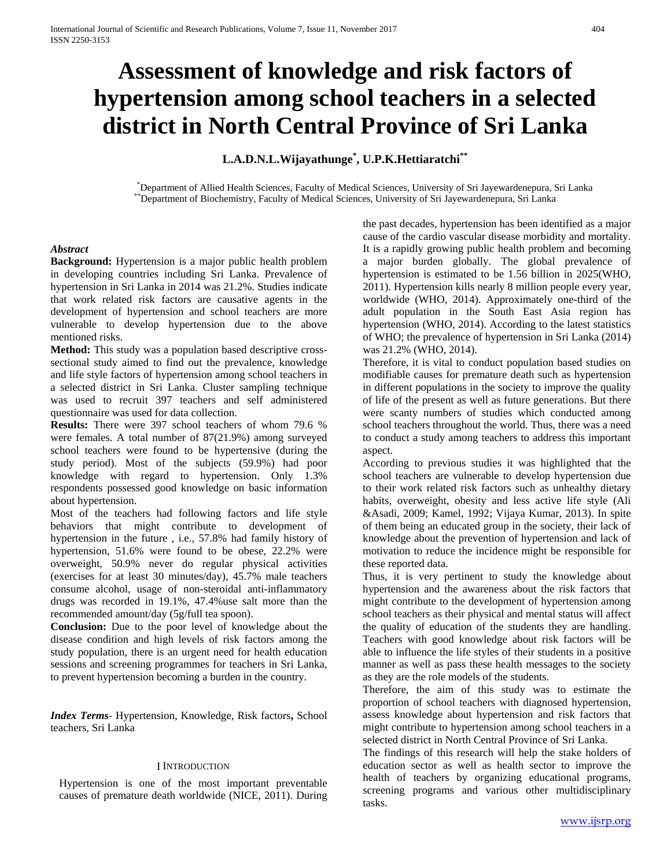# **Assessment of knowledge and risk factors of hypertension among school teachers in a selected district in North Central Province of Sri Lanka**

## **L.A.D.N.L.Wijayathunge\* , U.P.K.Hettiaratchi\*\***

\*Department of Allied Health Sciences, Faculty of Medical Sciences, University of Sri Jayewardenepura, Sri Lanka \*\*Department of Biochemistry, Faculty of Medical Sciences, University of Sri Jayewardenepura, Sri Lanka

#### *Abstract*

**Background:** Hypertension is a major public health problem in developing countries including Sri Lanka. Prevalence of hypertension in Sri Lanka in 2014 was 21.2%. Studies indicate that work related risk factors are causative agents in the development of hypertension and school teachers are more vulnerable to develop hypertension due to the above mentioned risks.

**Method:** This study was a population based descriptive crosssectional study aimed to find out the prevalence, knowledge and life style factors of hypertension among school teachers in a selected district in Sri Lanka. Cluster sampling technique was used to recruit 397 teachers and self administered questionnaire was used for data collection.

**Results:** There were 397 school teachers of whom 79.6 % were females. A total number of 87(21.9%) among surveyed school teachers were found to be hypertensive (during the study period). Most of the subjects (59.9%) had poor knowledge with regard to hypertension. Only 1.3% respondents possessed good knowledge on basic information about hypertension.

Most of the teachers had following factors and life style behaviors that might contribute to development of hypertension in the future , i.e., 57.8% had family history of hypertension, 51.6% were found to be obese, 22.2% were overweight, 50.9% never do regular physical activities (exercises for at least 30 minutes/day), 45.7% male teachers consume alcohol, usage of non-steroidal anti-inflammatory drugs was recorded in 19.1%, 47.4%use salt more than the recommended amount/day (5g/full tea spoon).

**Conclusion:** Due to the poor level of knowledge about the disease condition and high levels of risk factors among the study population, there is an urgent need for health education sessions and screening programmes for teachers in Sri Lanka, to prevent hypertension becoming a burden in the country.

*Index Terms*- Hypertension, Knowledge, Risk factors**,** School teachers, Sri Lanka

#### I INTRODUCTION

Hypertension is one of the most important preventable causes of premature death worldwide (NICE, 2011). During the past decades, hypertension has been identified as a major cause of the cardio vascular disease morbidity and mortality. It is a rapidly growing public health problem and becoming a major burden globally. The global prevalence of hypertension is estimated to be 1.56 billion in 2025(WHO, 2011). Hypertension kills nearly 8 million people every year, worldwide (WHO, 2014). Approximately one-third of the adult population in the South East Asia region has hypertension (WHO, 2014). According to the latest statistics of WHO; the prevalence of hypertension in Sri Lanka (2014) was 21.2% (WHO, 2014).

Therefore, it is vital to conduct population based studies on modifiable causes for premature death such as hypertension in different populations in the society to improve the quality of life of the present as well as future generations. But there were scanty numbers of studies which conducted among school teachers throughout the world. Thus, there was a need to conduct a study among teachers to address this important aspect.

According to previous studies it was highlighted that the school teachers are vulnerable to develop hypertension due to their work related risk factors such as unhealthy dietary habits, overweight, obesity and less active life style (Ali &Asadi, 2009; Kamel, 1992; Vijaya Kumar, 2013). In spite of them being an educated group in the society, their lack of knowledge about the prevention of hypertension and lack of motivation to reduce the incidence might be responsible for these reported data.

Thus, it is very pertinent to study the knowledge about hypertension and the awareness about the risk factors that might contribute to the development of hypertension among school teachers as their physical and mental status will affect the quality of education of the students they are handling. Teachers with good knowledge about risk factors will be able to influence the life styles of their students in a positive manner as well as pass these health messages to the society as they are the role models of the students.

Therefore, the aim of this study was to estimate the proportion of school teachers with diagnosed hypertension, assess knowledge about hypertension and risk factors that might contribute to hypertension among school teachers in a selected district in North Central Province of Sri Lanka.

The findings of this research will help the stake holders of education sector as well as health sector to improve the health of teachers by organizing educational programs, screening programs and various other multidisciplinary tasks.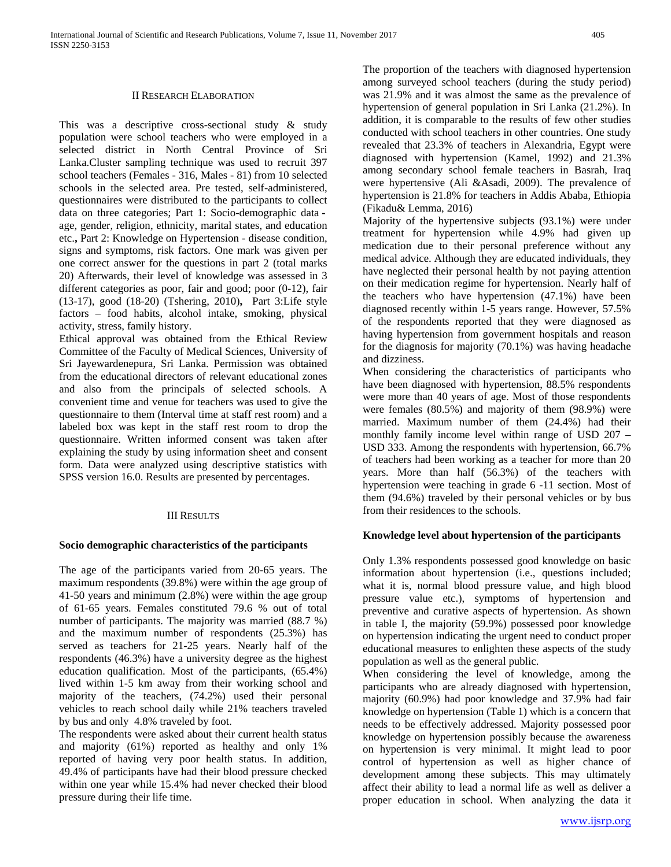#### II RESEARCH ELABORATION

This was a descriptive cross-sectional study & study population were school teachers who were employed in a selected district in North Central Province of Sri Lanka.Cluster sampling technique was used to recruit 397 school teachers (Females - 316, Males - 81) from 10 selected schools in the selected area. Pre tested, self-administered, questionnaires were distributed to the participants to collect data on three categories; Part 1: Socio-demographic data age, gender, religion, ethnicity, marital states, and education etc.**,** Part 2: Knowledge on Hypertension - disease condition, signs and symptoms, risk factors. One mark was given per one correct answer for the questions in part 2 (total marks 20) Afterwards, their level of knowledge was assessed in 3 different categories as poor, fair and good; poor (0-12), fair (13-17), good (18-20) (Tshering, 2010)**,** Part 3:Life style factors – food habits, alcohol intake, smoking, physical activity, stress, family history.

Ethical approval was obtained from the Ethical Review Committee of the Faculty of Medical Sciences, University of Sri Jayewardenepura, Sri Lanka. Permission was obtained from the educational directors of relevant educational zones and also from the principals of selected schools. A convenient time and venue for teachers was used to give the questionnaire to them (Interval time at staff rest room) and a labeled box was kept in the staff rest room to drop the questionnaire. Written informed consent was taken after explaining the study by using information sheet and consent form. Data were analyzed using descriptive statistics with SPSS version 16.0. Results are presented by percentages.

#### III RESULTS

### **Socio demographic characteristics of the participants**

The age of the participants varied from 20-65 years. The maximum respondents (39.8%) were within the age group of 41-50 years and minimum (2.8%) were within the age group of 61-65 years. Females constituted 79.6 % out of total number of participants. The majority was married (88.7 %) and the maximum number of respondents (25.3%) has served as teachers for 21-25 years. Nearly half of the respondents (46.3%) have a university degree as the highest education qualification. Most of the participants, (65.4%) lived within 1-5 km away from their working school and majority of the teachers, (74.2%) used their personal vehicles to reach school daily while 21% teachers traveled by bus and only 4.8% traveled by foot.

The respondents were asked about their current health status and majority (61%) reported as healthy and only 1% reported of having very poor health status. In addition, 49.4% of participants have had their blood pressure checked within one year while 15.4% had never checked their blood pressure during their life time.

The proportion of the teachers with diagnosed hypertension among surveyed school teachers (during the study period) was 21.9% and it was almost the same as the prevalence of hypertension of general population in Sri Lanka (21.2%). In addition, it is comparable to the results of few other studies conducted with school teachers in other countries. One study revealed that 23.3% of teachers in Alexandria, Egypt were diagnosed with hypertension (Kamel, 1992) and 21.3% among secondary school female teachers in Basrah, Iraq were hypertensive (Ali &Asadi, 2009). The prevalence of hypertension is 21.8% for teachers in Addis Ababa, Ethiopia (Fikadu& Lemma, 2016)

Majority of the hypertensive subjects (93.1%) were under treatment for hypertension while 4.9% had given up medication due to their personal preference without any medical advice. Although they are educated individuals, they have neglected their personal health by not paying attention on their medication regime for hypertension. Nearly half of the teachers who have hypertension (47.1%) have been diagnosed recently within 1-5 years range. However, 57.5% of the respondents reported that they were diagnosed as having hypertension from government hospitals and reason for the diagnosis for majority (70.1%) was having headache and dizziness.

When considering the characteristics of participants who have been diagnosed with hypertension, 88.5% respondents were more than 40 years of age. Most of those respondents were females (80.5%) and majority of them (98.9%) were married. Maximum number of them (24.4%) had their monthly family income level within range of USD 207 – USD 333. Among the respondents with hypertension, 66.7% of teachers had been working as a teacher for more than 20 years. More than half (56.3%) of the teachers with hypertension were teaching in grade 6 -11 section. Most of them (94.6%) traveled by their personal vehicles or by bus from their residences to the schools.

## **Knowledge level about hypertension of the participants**

Only 1.3% respondents possessed good knowledge on basic information about hypertension (i.e., questions included; what it is, normal blood pressure value, and high blood pressure value etc.), symptoms of hypertension and preventive and curative aspects of hypertension. As shown in table I, the majority (59.9%) possessed poor knowledge on hypertension indicating the urgent need to conduct proper educational measures to enlighten these aspects of the study population as well as the general public.

When considering the level of knowledge, among the participants who are already diagnosed with hypertension, majority (60.9%) had poor knowledge and 37.9% had fair knowledge on hypertension (Table 1) which is a concern that needs to be effectively addressed. Majority possessed poor knowledge on hypertension possibly because the awareness on hypertension is very minimal. It might lead to poor control of hypertension as well as higher chance of development among these subjects. This may ultimately affect their ability to lead a normal life as well as deliver a proper education in school. When analyzing the data it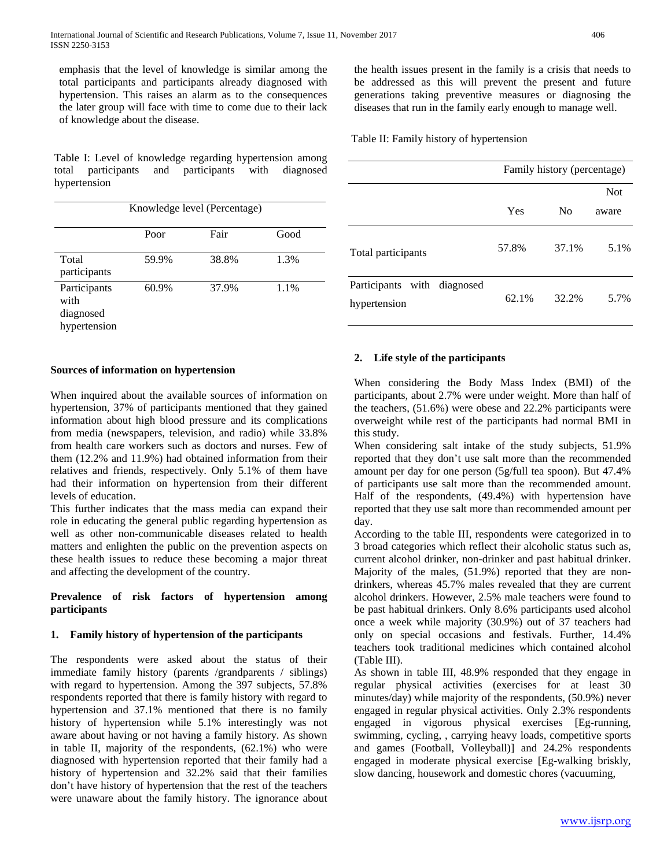emphasis that the level of knowledge is similar among the total participants and participants already diagnosed with hypertension. This raises an alarm as to the consequences the later group will face with time to come due to their lack of knowledge about the disease.

Table I: Level of knowledge regarding hypertension among total participants and participants with diagnosed hypertension

| Knowledge level (Percentage)                      |       |       |      |  |  |
|---------------------------------------------------|-------|-------|------|--|--|
|                                                   | Poor  | Fair  | Good |  |  |
| Total<br>participants                             | 59.9% | 38.8% | 1.3% |  |  |
| Participants<br>with<br>diagnosed<br>hypertension | 60.9% | 37.9% | 1.1% |  |  |

#### **Sources of information on hypertension**

When inquired about the available sources of information on hypertension, 37% of participants mentioned that they gained information about high blood pressure and its complications from media (newspapers, television, and radio) while 33.8% from health care workers such as doctors and nurses. Few of them (12.2% and 11.9%) had obtained information from their relatives and friends, respectively. Only 5.1% of them have had their information on hypertension from their different levels of education.

This further indicates that the mass media can expand their role in educating the general public regarding hypertension as well as other non-communicable diseases related to health matters and enlighten the public on the prevention aspects on these health issues to reduce these becoming a major threat and affecting the development of the country.

## **Prevalence of risk factors of hypertension among participants**

## **1. Family history of hypertension of the participants**

The respondents were asked about the status of their immediate family history (parents /grandparents / siblings) with regard to hypertension. Among the 397 subjects, 57.8% respondents reported that there is family history with regard to hypertension and 37.1% mentioned that there is no family history of hypertension while 5.1% interestingly was not aware about having or not having a family history. As shown in table II, majority of the respondents, (62.1%) who were diagnosed with hypertension reported that their family had a history of hypertension and 32.2% said that their families don't have history of hypertension that the rest of the teachers were unaware about the family history. The ignorance about the health issues present in the family is a crisis that needs to be addressed as this will prevent the present and future generations taking preventive measures or diagnosing the diseases that run in the family early enough to manage well.

Table II: Family history of hypertension

|                                             | Family history (percentage) |                |            |
|---------------------------------------------|-----------------------------|----------------|------------|
|                                             |                             |                | <b>Not</b> |
|                                             | Yes                         | N <sub>0</sub> | aware      |
| Total participants                          | 57.8%                       | 37.1%          | 5.1%       |
| Participants with diagnosed<br>hypertension | 62.1%                       | 32.2%          | 5.7%       |

## **2. Life style of the participants**

When considering the Body Mass Index (BMI) of the participants, about 2.7% were under weight. More than half of the teachers, (51.6%) were obese and 22.2% participants were overweight while rest of the participants had normal BMI in this study.

When considering salt intake of the study subjects, 51.9% reported that they don't use salt more than the recommended amount per day for one person (5g/full tea spoon). But 47.4% of participants use salt more than the recommended amount. Half of the respondents, (49.4%) with hypertension have reported that they use salt more than recommended amount per day.

According to the table III, respondents were categorized in to 3 broad categories which reflect their alcoholic status such as, current alcohol drinker, non-drinker and past habitual drinker. Majority of the males, (51.9%) reported that they are nondrinkers, whereas 45.7% males revealed that they are current alcohol drinkers. However, 2.5% male teachers were found to be past habitual drinkers. Only 8.6% participants used alcohol once a week while majority (30.9%) out of 37 teachers had only on special occasions and festivals. Further, 14.4% teachers took traditional medicines which contained alcohol (Table III).

As shown in table III, 48.9% responded that they engage in regular physical activities (exercises for at least 30 minutes/day) while majority of the respondents, (50.9%) never engaged in regular physical activities. Only 2.3% respondents engaged in vigorous physical exercises [Eg-running, swimming, cycling, , carrying heavy loads, competitive sports and games (Football, Volleyball)] and 24.2% respondents engaged in moderate physical exercise [Eg-walking briskly, slow dancing, housework and domestic chores (vacuuming,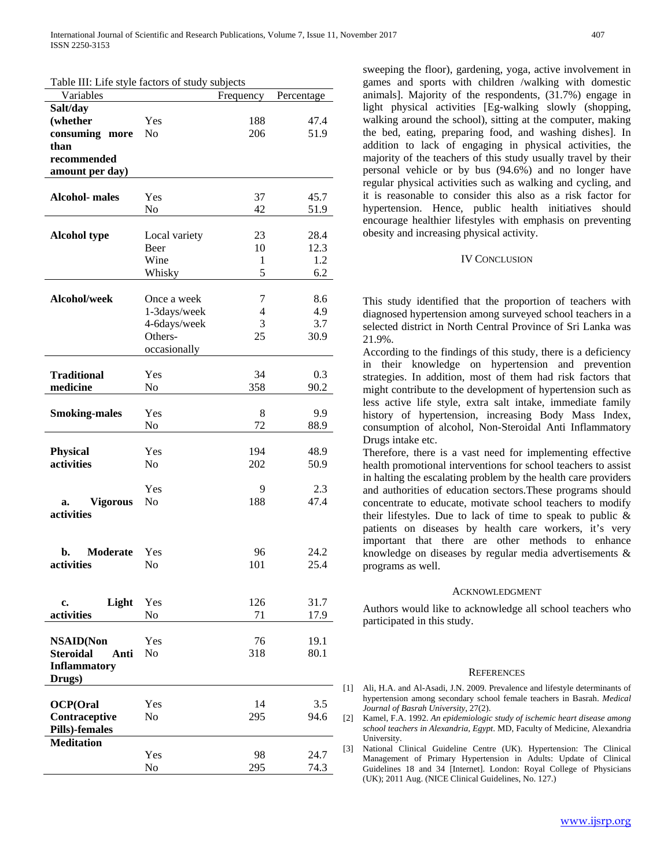Table III: Life style factors of study subjects

| radic III. Life style factors of study subjects<br>Variables |                | Frequency | Percentage |
|--------------------------------------------------------------|----------------|-----------|------------|
|                                                              |                |           |            |
| Salt/day                                                     |                |           |            |
| (whether                                                     | Yes            | 188       | 47.4       |
| consuming more                                               | N <sub>0</sub> | 206       | 51.9       |
| than                                                         |                |           |            |
| recommended                                                  |                |           |            |
| amount per day)                                              |                |           |            |
|                                                              |                |           |            |
| <b>Alcohol-</b> males                                        | Yes            | 37        | 45.7       |
|                                                              | No             | 42        | 51.9       |
|                                                              |                |           |            |
| <b>Alcohol type</b>                                          | Local variety  | 23        | 28.4       |
|                                                              | Beer           | 10        | 12.3       |
|                                                              | Wine           | 1         | 1.2        |
|                                                              | Whisky         | 5         | 6.2        |
|                                                              |                |           |            |
| Alcohol/week                                                 | Once a week    | 7         | 8.6        |
|                                                              | 1-3days/week   | 4         | 4.9        |
|                                                              | 4-6days/week   | 3         | 3.7        |
|                                                              | Others-        | 25        |            |
|                                                              |                |           | 30.9       |
|                                                              | occasionally   |           |            |
| <b>Traditional</b>                                           | Yes            | 34        | 0.3        |
| medicine                                                     | No             | 358       | 90.2       |
|                                                              |                |           |            |
|                                                              | Yes            | 8         | 9.9        |
| <b>Smoking-males</b>                                         |                | 72        |            |
|                                                              | No             |           | 88.9       |
|                                                              |                |           |            |
| <b>Physical</b>                                              | Yes            | 194       | 48.9       |
| activities                                                   | N <sub>0</sub> | 202       | 50.9       |
|                                                              |                |           |            |
|                                                              | Yes            | 9         | 2.3        |
| Vigorous<br>a.                                               | No             | 188       | 47.4       |
| activities                                                   |                |           |            |
|                                                              |                |           |            |
|                                                              |                |           |            |
| <b>Moderate</b><br>b.                                        | Yes            | 96        | 24.2       |
| activities                                                   | No             | 101       | 25.4       |
|                                                              |                |           |            |
|                                                              |                |           |            |
| Light<br>c.                                                  | Yes            | 126       | 31.7       |
| activities                                                   | No             | 71        | 17.9       |
|                                                              |                |           |            |
| <b>NSAID(Non</b>                                             | Yes            | 76        | 19.1       |
| <b>Steroidal</b><br>Anti                                     | No             | 318       | 80.1       |
| <b>Inflammatory</b>                                          |                |           |            |
| Drugs)                                                       |                |           |            |
|                                                              |                |           |            |
| <b>OCP(Oral</b>                                              | Yes            | 14        | 3.5        |
| Contraceptive                                                | No             | 295       | 94.6       |
| Pills)-females                                               |                |           |            |
| <b>Meditation</b>                                            |                |           |            |
|                                                              | Yes            | 98        | 24.7       |
|                                                              | No             | 295       | 74.3       |

sweeping the floor), gardening, yoga, active involvement in games and sports with children /walking with domestic animals]. Majority of the respondents, (31.7%) engage in light physical activities [Eg-walking slowly (shopping, walking around the school), sitting at the computer, making the bed, eating, preparing food, and washing dishes]. In addition to lack of engaging in physical activities, the majority of the teachers of this study usually travel by their personal vehicle or by bus (94.6%) and no longer have regular physical activities such as walking and cycling, and it is reasonable to consider this also as a risk factor for hypertension. Hence, public health initiatives should encourage healthier lifestyles with emphasis on preventing obesity and increasing physical activity.

#### IV CONCLUSION

This study identified that the proportion of teachers with diagnosed hypertension among surveyed school teachers in a selected district in North Central Province of Sri Lanka was 21.9%.

According to the findings of this study, there is a deficiency in their knowledge on hypertension and prevention strategies. In addition, most of them had risk factors that might contribute to the development of hypertension such as less active life style, extra salt intake, immediate family history of hypertension, increasing Body Mass Index, consumption of alcohol, Non-Steroidal Anti Inflammatory Drugs intake etc.

Therefore, there is a vast need for implementing effective health promotional interventions for school teachers to assist in halting the escalating problem by the health care providers and authorities of education sectors.These programs should concentrate to educate, motivate school teachers to modify their lifestyles. Due to lack of time to speak to public & patients on diseases by health care workers, it's very important that there are other methods to enhance knowledge on diseases by regular media advertisements & programs as well.

#### ACKNOWLEDGMENT

Authors would like to acknowledge all school teachers who participated in this study.

#### **REFERENCES**

- [1] Ali, H.A. and Al-Asadi, J.N. 2009. Prevalence and lifestyle determinants of hypertension among secondary school female teachers in Basrah. *Medical Journal of Basrah University*, 27(2).
- [2] Kamel, F.A. 1992. *An epidemiologic study of ischemic heart disease among school teachers in Alexandria, Egypt*. MD, Faculty of Medicine, Alexandria University.
- [3] National Clinical Guideline Centre (UK). Hypertension: The Clinical Management of Primary Hypertension in Adults: Update of Clinical Guidelines 18 and 34 [Internet]. London: Royal College of Physicians (UK); 2011 Aug. (NICE Clinical Guidelines, No. 127.)